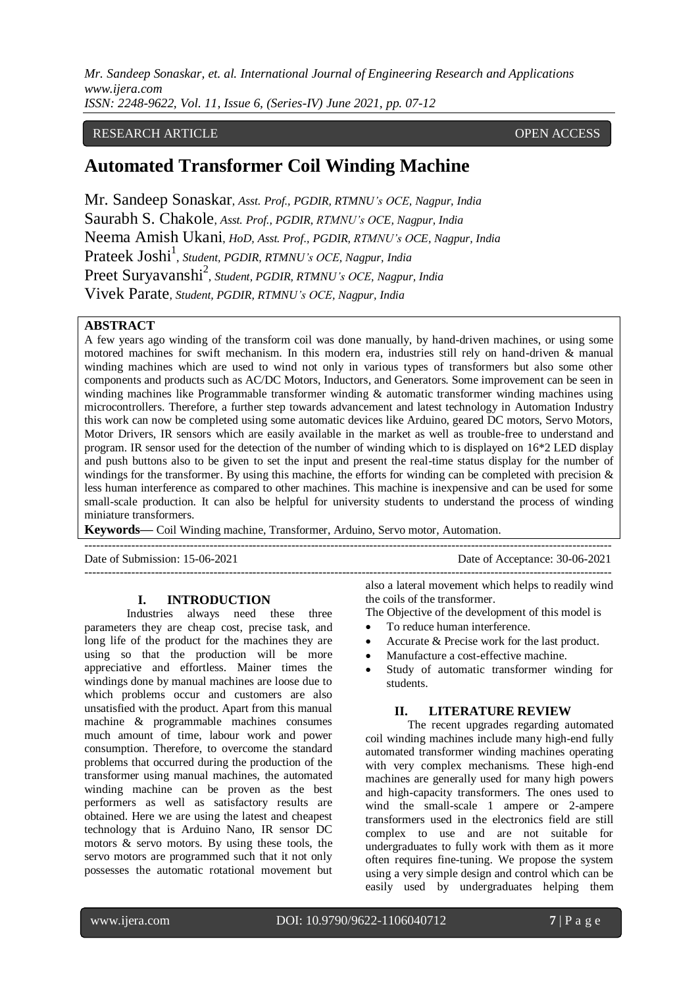## RESEARCH ARTICLE **OPEN ACCESS**

# **Automated Transformer Coil Winding Machine**

Mr. Sandeep Sonaskar, *Asst. Prof., PGDIR, RTMNU's OCE, Nagpur, India* Saurabh S. Chakole, *Asst. Prof., PGDIR, RTMNU's OCE, Nagpur, India* Neema Amish Ukani, *HoD, Asst. Prof., PGDIR, RTMNU's OCE, Nagpur, India* Prateek Joshi<sup>1</sup>, *Student, PGDIR, RTMNU's OCE, Nagpur, India* Preet Suryavanshi<sup>2</sup>, Student, PGDIR, RTMNU's OCE, Nagpur, India Vivek Parate, *Student, PGDIR, RTMNU's OCE, Nagpur, India*

## **ABSTRACT**

A few years ago winding of the transform coil was done manually, by hand-driven machines, or using some motored machines for swift mechanism. In this modern era, industries still rely on hand-driven & manual winding machines which are used to wind not only in various types of transformers but also some other components and products such as AC/DC Motors, Inductors, and Generators. Some improvement can be seen in winding machines like Programmable transformer winding & automatic transformer winding machines using microcontrollers. Therefore, a further step towards advancement and latest technology in Automation Industry this work can now be completed using some automatic devices like Arduino, geared DC motors, Servo Motors, Motor Drivers, IR sensors which are easily available in the market as well as trouble-free to understand and program. IR sensor used for the detection of the number of winding which to is displayed on 16\*2 LED display and push buttons also to be given to set the input and present the real-time status display for the number of windings for the transformer. By using this machine, the efforts for winding can be completed with precision  $\&$ less human interference as compared to other machines. This machine is inexpensive and can be used for some small-scale production. It can also be helpful for university students to understand the process of winding miniature transformers.

**Keywords—** Coil Winding machine, Transformer, Arduino, Servo motor, Automation.

---------------------------------------------------------------------------------------------------------------------------------------

---------------------------------------------------------------------------------------------------------------------------------------

Date of Submission: 15-06-2021 Date of Acceptance: 30-06-2021

## **I. INTRODUCTION**

Industries always need these three parameters they are cheap cost, precise task, and long life of the product for the machines they are using so that the production will be more appreciative and effortless. Mainer times the windings done by manual machines are loose due to which problems occur and customers are also unsatisfied with the product. Apart from this manual machine & programmable machines consumes much amount of time, labour work and power consumption. Therefore, to overcome the standard problems that occurred during the production of the transformer using manual machines, the automated winding machine can be proven as the best performers as well as satisfactory results are obtained. Here we are using the latest and cheapest technology that is Arduino Nano, IR sensor DC motors & servo motors. By using these tools, the servo motors are programmed such that it not only possesses the automatic rotational movement but

also a lateral movement which helps to readily wind the coils of the transformer.

- The Objective of the development of this model is
- To reduce human interference.
- Accurate & Precise work for the last product.
- Manufacture a cost-effective machine.
- Study of automatic transformer winding for students.

## **II. LITERATURE REVIEW**

The recent upgrades regarding automated coil winding machines include many high-end fully automated transformer winding machines operating with very complex mechanisms. These high-end machines are generally used for many high powers and high-capacity transformers. The ones used to wind the small-scale 1 ampere or 2-ampere transformers used in the electronics field are still complex to use and are not suitable for undergraduates to fully work with them as it more often requires fine-tuning. We propose the system using a very simple design and control which can be easily used by undergraduates helping them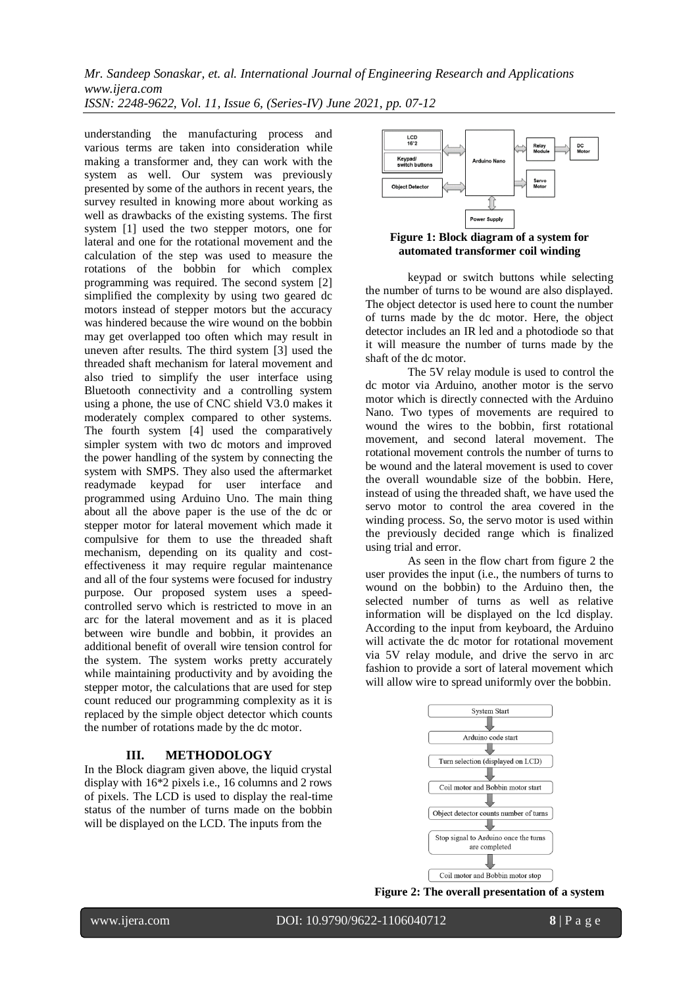*Mr. Sandeep Sonaskar, et. al. International Journal of Engineering Research and Applications www.ijera.com*

*ISSN: 2248-9622, Vol. 11, Issue 6, (Series-IV) June 2021, pp. 07-12*

understanding the manufacturing process and various terms are taken into consideration while making a transformer and, they can work with the system as well. Our system was previously presented by some of the authors in recent years, the survey resulted in knowing more about working as well as drawbacks of the existing systems. The first system [1] used the two stepper motors, one for lateral and one for the rotational movement and the calculation of the step was used to measure the rotations of the bobbin for which complex programming was required. The second system [2] simplified the complexity by using two geared dc motors instead of stepper motors but the accuracy was hindered because the wire wound on the bobbin may get overlapped too often which may result in uneven after results. The third system [3] used the threaded shaft mechanism for lateral movement and also tried to simplify the user interface using Bluetooth connectivity and a controlling system using a phone, the use of CNC shield V3.0 makes it moderately complex compared to other systems. The fourth system [4] used the comparatively simpler system with two dc motors and improved the power handling of the system by connecting the system with SMPS. They also used the aftermarket readymade keypad for user interface and programmed using Arduino Uno. The main thing about all the above paper is the use of the dc or stepper motor for lateral movement which made it compulsive for them to use the threaded shaft mechanism, depending on its quality and costeffectiveness it may require regular maintenance and all of the four systems were focused for industry purpose. Our proposed system uses a speedcontrolled servo which is restricted to move in an arc for the lateral movement and as it is placed between wire bundle and bobbin, it provides an additional benefit of overall wire tension control for the system. The system works pretty accurately while maintaining productivity and by avoiding the stepper motor, the calculations that are used for step count reduced our programming complexity as it is replaced by the simple object detector which counts the number of rotations made by the dc motor.

# **III. METHODOLOGY**

In the Block diagram given above, the liquid crystal display with 16\*2 pixels i.e., 16 columns and 2 rows of pixels. The LCD is used to display the real-time status of the number of turns made on the bobbin will be displayed on the LCD. The inputs from the



**Figure 1: Block diagram of a system for automated transformer coil winding**

keypad or switch buttons while selecting the number of turns to be wound are also displayed. The object detector is used here to count the number of turns made by the dc motor. Here, the object detector includes an IR led and a photodiode so that it will measure the number of turns made by the shaft of the dc motor.

The 5V relay module is used to control the dc motor via Arduino, another motor is the servo motor which is directly connected with the Arduino Nano. Two types of movements are required to wound the wires to the bobbin, first rotational movement, and second lateral movement. The rotational movement controls the number of turns to be wound and the lateral movement is used to cover the overall woundable size of the bobbin. Here, instead of using the threaded shaft, we have used the servo motor to control the area covered in the winding process. So, the servo motor is used within the previously decided range which is finalized using trial and error.

As seen in the flow chart from figure 2 the user provides the input (i.e., the numbers of turns to wound on the bobbin) to the Arduino then, the selected number of turns as well as relative information will be displayed on the lcd display. According to the input from keyboard, the Arduino will activate the dc motor for rotational movement via 5V relay module, and drive the servo in arc fashion to provide a sort of lateral movement which will allow wire to spread uniformly over the bobbin.



**Figure 2: The overall presentation of a system**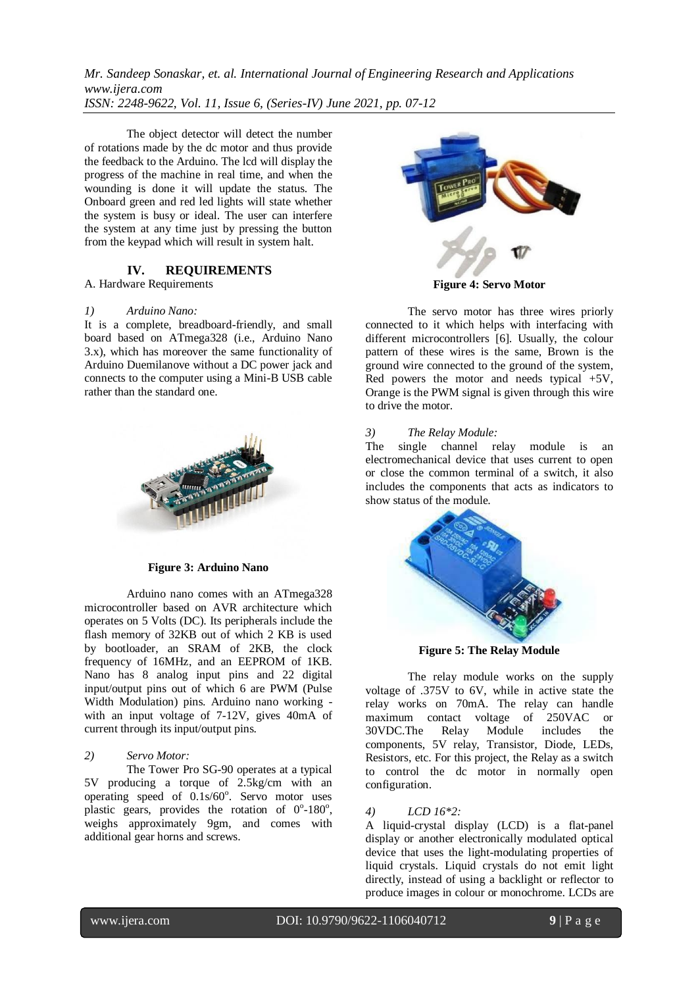The object detector will detect the number of rotations made by the dc motor and thus provide the feedback to the Arduino. The lcd will display the progress of the machine in real time, and when the wounding is done it will update the status. The Onboard green and red led lights will state whether the system is busy or ideal. The user can interfere the system at any time just by pressing the button from the keypad which will result in system halt.

## **IV. REQUIREMENTS**

A. Hardware Requirements

#### *1) Arduino Nano:*

It is a complete, breadboard-friendly, and small board based on ATmega328 (i.e., Arduino Nano 3.x), which has moreover the same functionality of Arduino Duemilanove without a DC power jack and connects to the computer using a Mini-B USB cable rather than the standard one.



#### **Figure 3: Arduino Nano**

Arduino nano comes with an ATmega328 microcontroller based on AVR architecture which operates on 5 Volts (DC). Its peripherals include the flash memory of 32KB out of which 2 KB is used by bootloader, an SRAM of 2KB, the clock frequency of 16MHz, and an EEPROM of 1KB. Nano has 8 analog input pins and 22 digital input/output pins out of which 6 are PWM (Pulse Width Modulation) pins. Arduino nano working with an input voltage of 7-12V, gives 40mA of current through its input/output pins.

#### *2) Servo Motor:*

The Tower Pro SG-90 operates at a typical 5V producing a torque of 2.5kg/cm with an operating speed of 0.1s/60°. Servo motor uses plastic gears, provides the rotation of  $0^\circ$ -180 $^\circ$ , weighs approximately 9gm, and comes with additional gear horns and screws.



**Figure 4: Servo Motor**

The servo motor has three wires priorly connected to it which helps with interfacing with different microcontrollers [6]. Usually, the colour pattern of these wires is the same, Brown is the ground wire connected to the ground of the system, Red powers the motor and needs typical  $+5V$ , Orange is the PWM signal is given through this wire to drive the motor.

## *3) The Relay Module:*

The single channel relay module is an electromechanical device that uses current to open or close the common terminal of a switch, it also includes the components that acts as indicators to show status of the module.



**Figure 5: The Relay Module**

The relay module works on the supply voltage of .375V to 6V, while in active state the relay works on 70mA. The relay can handle maximum contact voltage of 250VAC or<br>30VDC.The Relay Module includes the 30VDC.The Relay Module includes the components, 5V relay, Transistor, Diode, LEDs, Resistors, etc. For this project, the Relay as a switch to control the dc motor in normally open configuration.

#### *4) LCD 16\*2:*

A liquid-crystal display (LCD) is a flat-panel display or another electronically modulated optical device that uses the light-modulating properties of liquid crystals. Liquid crystals do not emit light directly, instead of using a backlight or reflector to produce images in colour or monochrome. LCDs are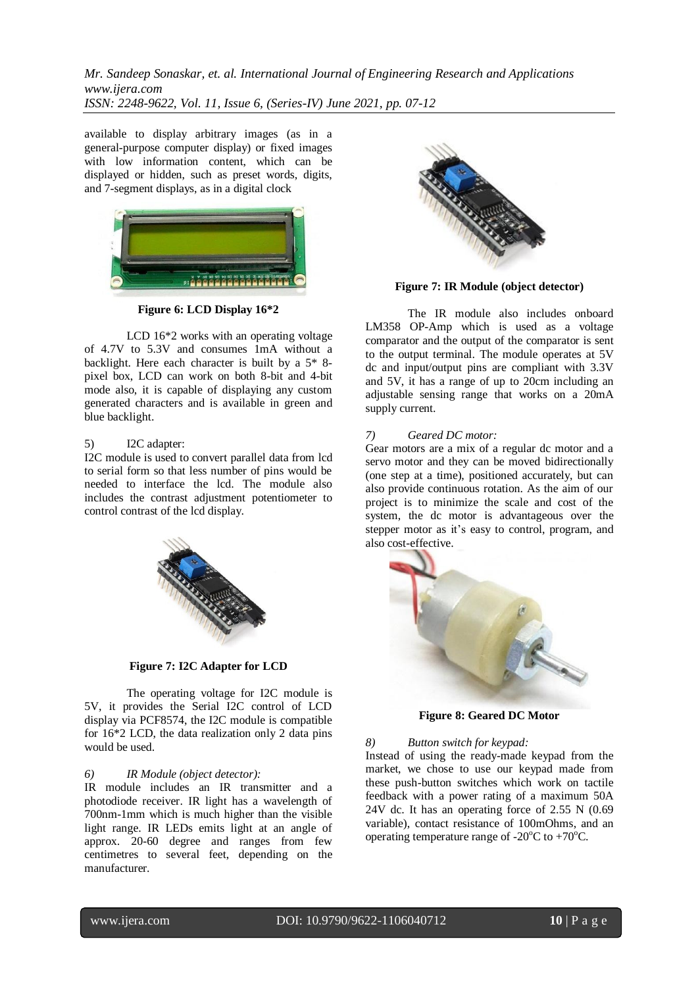available to display arbitrary images (as in a general-purpose computer display) or fixed images with low information content, which can be displayed or hidden, such as preset words, digits, and 7-segment displays, as in a digital clock



**Figure 6: LCD Display 16\*2**

LCD 16\*2 works with an operating voltage of 4.7V to 5.3V and consumes 1mA without a backlight. Here each character is built by a 5\* 8 pixel box, LCD can work on both 8-bit and 4-bit mode also, it is capable of displaying any custom generated characters and is available in green and blue backlight.

## 5) I2C adapter:

I2C module is used to convert parallel data from lcd to serial form so that less number of pins would be needed to interface the lcd. The module also includes the contrast adjustment potentiometer to control contrast of the lcd display.



**Figure 7: I2C Adapter for LCD**

The operating voltage for I2C module is 5V, it provides the Serial I2C control of LCD display via PCF8574, the I2C module is compatible for 16\*2 LCD, the data realization only 2 data pins would be used.

## *6) IR Module (object detector):*

IR module includes an IR transmitter and a photodiode receiver. IR light has a wavelength of 700nm-1mm which is much higher than the visible light range. IR LEDs emits light at an angle of approx. 20-60 degree and ranges from few centimetres to several feet, depending on the manufacturer.



**Figure 7: IR Module (object detector)**

The IR module also includes onboard LM358 OP-Amp which is used as a voltage comparator and the output of the comparator is sent to the output terminal. The module operates at 5V dc and input/output pins are compliant with 3.3V and 5V, it has a range of up to 20cm including an adjustable sensing range that works on a 20mA supply current.

### *7) Geared DC motor:*

Gear motors are a mix of a regular dc motor and a servo motor and they can be moved bidirectionally (one step at a time), positioned accurately, but can also provide continuous rotation. As the aim of our project is to minimize the scale and cost of the system, the dc motor is advantageous over the stepper motor as it's easy to control, program, and also cost-effective.



**Figure 8: Geared DC Motor**

*8) Button switch for keypad:*

Instead of using the ready-made keypad from the market, we chose to use our keypad made from these push-button switches which work on tactile feedback with a power rating of a maximum 50A 24V dc. It has an operating force of 2.55 N (0.69 variable), contact resistance of 100mOhms, and an operating temperature range of  $-20^{\circ}$ C to  $+70^{\circ}$ C.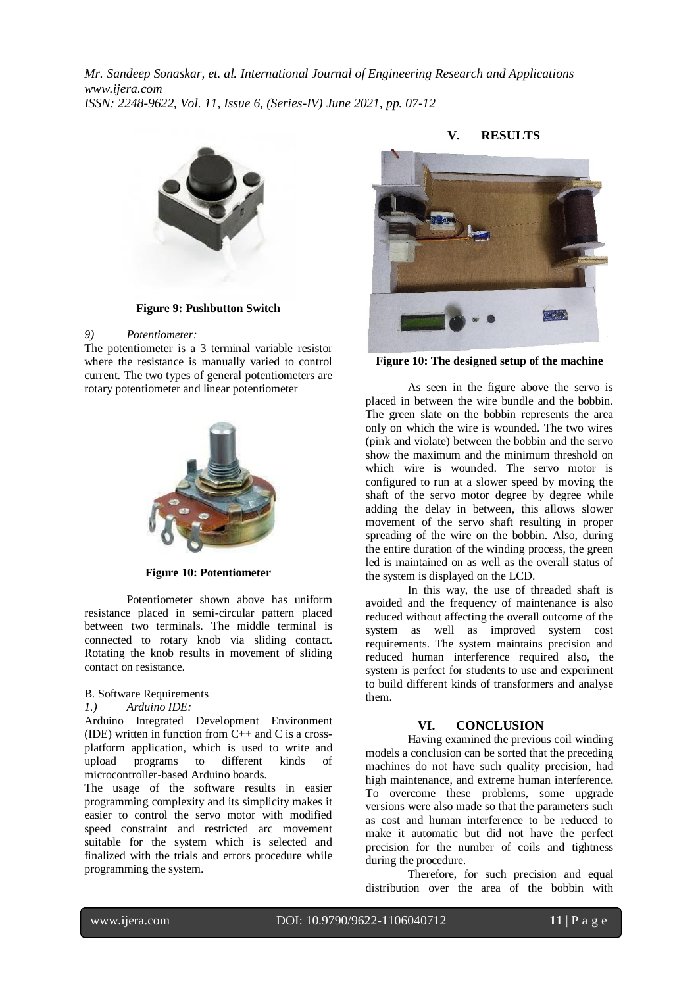

**Figure 9: Pushbutton Switch**

#### *9) Potentiometer:*

The potentiometer is a 3 terminal variable resistor where the resistance is manually varied to control current. The two types of general potentiometers are rotary potentiometer and linear potentiometer



**Figure 10: Potentiometer**

Potentiometer shown above has uniform resistance placed in semi-circular pattern placed between two terminals. The middle terminal is connected to rotary knob via sliding contact. Rotating the knob results in movement of sliding contact on resistance.

#### B. Software Requirements

#### *1.) Arduino IDE:*

Arduino Integrated Development Environment (IDE) written in function from  $C_{++}$  and C is a crossplatform application, which is used to write and upload programs to different kinds of microcontroller-based Arduino boards.

The usage of the software results in easier programming complexity and its simplicity makes it easier to control the servo motor with modified speed constraint and restricted arc movement suitable for the system which is selected and finalized with the trials and errors procedure while programming the system.



**Figure 10: The designed setup of the machine**

As seen in the figure above the servo is placed in between the wire bundle and the bobbin. The green slate on the bobbin represents the area only on which the wire is wounded. The two wires (pink and violate) between the bobbin and the servo show the maximum and the minimum threshold on which wire is wounded. The servo motor is configured to run at a slower speed by moving the shaft of the servo motor degree by degree while adding the delay in between, this allows slower movement of the servo shaft resulting in proper spreading of the wire on the bobbin. Also, during the entire duration of the winding process, the green led is maintained on as well as the overall status of the system is displayed on the LCD.

In this way, the use of threaded shaft is avoided and the frequency of maintenance is also reduced without affecting the overall outcome of the system as well as improved system cost requirements. The system maintains precision and reduced human interference required also, the system is perfect for students to use and experiment to build different kinds of transformers and analyse them.

# **VI. CONCLUSION**

Having examined the previous coil winding models a conclusion can be sorted that the preceding machines do not have such quality precision, had high maintenance, and extreme human interference. To overcome these problems, some upgrade versions were also made so that the parameters such as cost and human interference to be reduced to make it automatic but did not have the perfect precision for the number of coils and tightness during the procedure.

Therefore, for such precision and equal distribution over the area of the bobbin with